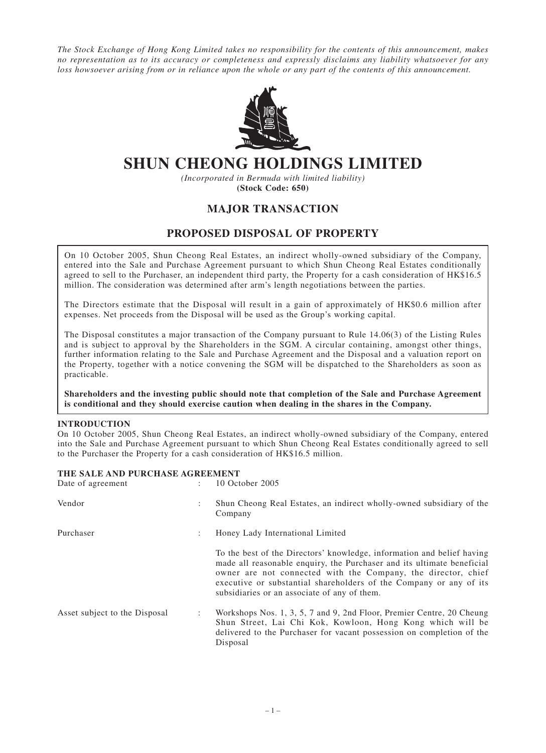*The Stock Exchange of Hong Kong Limited takes no responsibility for the contents of this announcement, makes no representation as to its accuracy or completeness and expressly disclaims any liability whatsoever for any loss howsoever arising from or in reliance upon the whole or any part of the contents of this announcement.*



# **SHUN CHEONG HOLDINGS LIMITED**

*(Incorporated in Bermuda with limited liability)* **(Stock Code: 650)**

# **MAJOR TRANSACTION**

## **PROPOSED DISPOSAL OF PROPERTY**

On 10 October 2005, Shun Cheong Real Estates, an indirect wholly-owned subsidiary of the Company, entered into the Sale and Purchase Agreement pursuant to which Shun Cheong Real Estates conditionally agreed to sell to the Purchaser, an independent third party, the Property for a cash consideration of HK\$16.5 million. The consideration was determined after arm's length negotiations between the parties.

The Directors estimate that the Disposal will result in a gain of approximately of HK\$0.6 million after expenses. Net proceeds from the Disposal will be used as the Group's working capital.

The Disposal constitutes a major transaction of the Company pursuant to Rule 14.06(3) of the Listing Rules and is subject to approval by the Shareholders in the SGM. A circular containing, amongst other things, further information relating to the Sale and Purchase Agreement and the Disposal and a valuation report on the Property, together with a notice convening the SGM will be dispatched to the Shareholders as soon as practicable.

**Shareholders and the investing public should note that completion of the Sale and Purchase Agreement is conditional and they should exercise caution when dealing in the shares in the Company.**

#### **INTRODUCTION**

On 10 October 2005, Shun Cheong Real Estates, an indirect wholly-owned subsidiary of the Company, entered into the Sale and Purchase Agreement pursuant to which Shun Cheong Real Estates conditionally agreed to sell to the Purchaser the Property for a cash consideration of HK\$16.5 million.

#### **THE SALE AND PURCHASE AGREEMENT**

| Date of agreement             | ÷              | 10 October 2005                                                                                                                                                                                                                                                                                                                         |
|-------------------------------|----------------|-----------------------------------------------------------------------------------------------------------------------------------------------------------------------------------------------------------------------------------------------------------------------------------------------------------------------------------------|
| Vendor                        | $\ddot{\cdot}$ | Shun Cheong Real Estates, an indirect wholly-owned subsidiary of the<br>Company                                                                                                                                                                                                                                                         |
| Purchaser                     | ÷              | Honey Lady International Limited                                                                                                                                                                                                                                                                                                        |
|                               |                | To the best of the Directors' knowledge, information and belief having<br>made all reasonable enquiry, the Purchaser and its ultimate beneficial<br>owner are not connected with the Company, the director, chief<br>executive or substantial shareholders of the Company or any of its<br>subsidiaries or an associate of any of them. |
| Asset subject to the Disposal | ÷              | Workshops Nos. 1, 3, 5, 7 and 9, 2nd Floor, Premier Centre, 20 Cheung<br>Shun Street, Lai Chi Kok, Kowloon, Hong Kong which will be<br>delivered to the Purchaser for vacant possession on completion of the<br>Disposal                                                                                                                |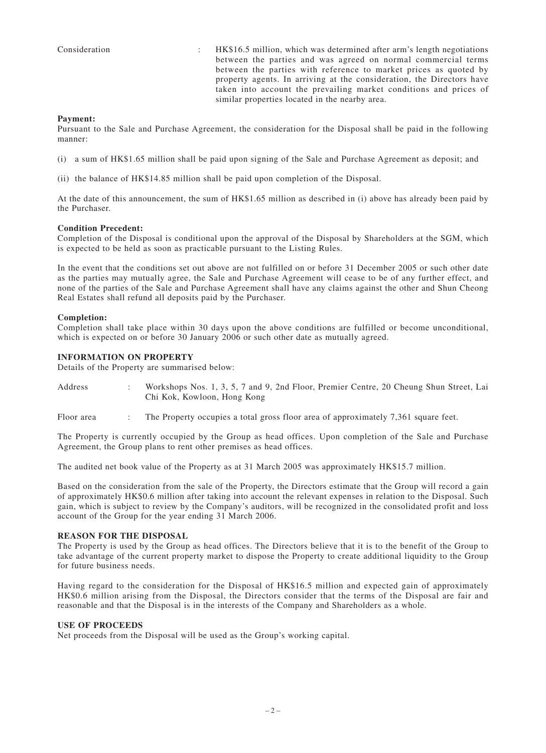Consideration : HK\$16.5 million, which was determined after arm's length negotiations between the parties and was agreed on normal commercial terms between the parties with reference to market prices as quoted by property agents. In arriving at the consideration, the Directors have taken into account the prevailing market conditions and prices of similar properties located in the nearby area.

#### **Payment:**

Pursuant to the Sale and Purchase Agreement, the consideration for the Disposal shall be paid in the following manner:

- (i) a sum of HK\$1.65 million shall be paid upon signing of the Sale and Purchase Agreement as deposit; and
- (ii) the balance of HK\$14.85 million shall be paid upon completion of the Disposal.

At the date of this announcement, the sum of HK\$1.65 million as described in (i) above has already been paid by the Purchaser.

#### **Condition Precedent:**

Completion of the Disposal is conditional upon the approval of the Disposal by Shareholders at the SGM, which is expected to be held as soon as practicable pursuant to the Listing Rules.

In the event that the conditions set out above are not fulfilled on or before 31 December 2005 or such other date as the parties may mutually agree, the Sale and Purchase Agreement will cease to be of any further effect, and none of the parties of the Sale and Purchase Agreement shall have any claims against the other and Shun Cheong Real Estates shall refund all deposits paid by the Purchaser.

#### **Completion:**

Completion shall take place within 30 days upon the above conditions are fulfilled or become unconditional, which is expected on or before 30 January 2006 or such other date as mutually agreed.

#### **INFORMATION ON PROPERTY**

Details of the Property are summarised below:

- Address : Workshops Nos. 1, 3, 5, 7 and 9, 2nd Floor, Premier Centre, 20 Cheung Shun Street, Lai Chi Kok, Kowloon, Hong Kong
- Floor area : The Property occupies a total gross floor area of approximately 7.361 square feet.

The Property is currently occupied by the Group as head offices. Upon completion of the Sale and Purchase Agreement, the Group plans to rent other premises as head offices.

The audited net book value of the Property as at 31 March 2005 was approximately HK\$15.7 million.

Based on the consideration from the sale of the Property, the Directors estimate that the Group will record a gain of approximately HK\$0.6 million after taking into account the relevant expenses in relation to the Disposal. Such gain, which is subject to review by the Company's auditors, will be recognized in the consolidated profit and loss account of the Group for the year ending 31 March 2006.

#### **REASON FOR THE DISPOSAL**

The Property is used by the Group as head offices. The Directors believe that it is to the benefit of the Group to take advantage of the current property market to dispose the Property to create additional liquidity to the Group for future business needs.

Having regard to the consideration for the Disposal of HK\$16.5 million and expected gain of approximately HK\$0.6 million arising from the Disposal, the Directors consider that the terms of the Disposal are fair and reasonable and that the Disposal is in the interests of the Company and Shareholders as a whole.

#### **USE OF PROCEEDS**

Net proceeds from the Disposal will be used as the Group's working capital.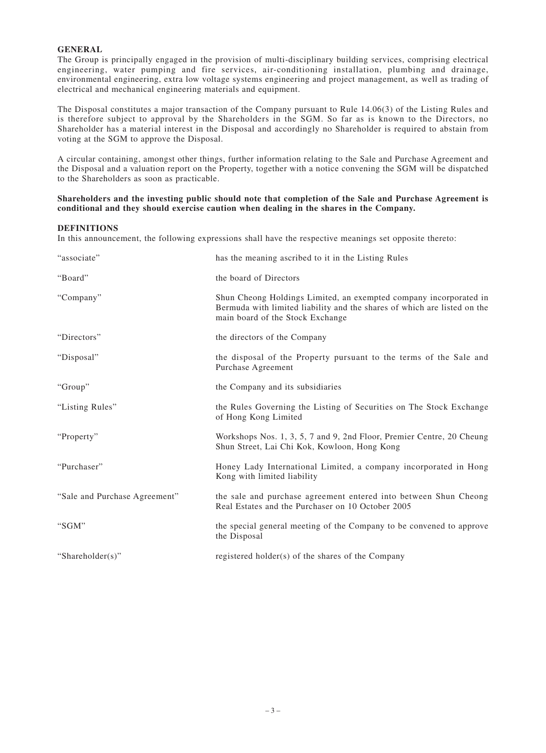## **GENERAL**

The Group is principally engaged in the provision of multi-disciplinary building services, comprising electrical engineering, water pumping and fire services, air-conditioning installation, plumbing and drainage, environmental engineering, extra low voltage systems engineering and project management, as well as trading of electrical and mechanical engineering materials and equipment.

The Disposal constitutes a major transaction of the Company pursuant to Rule 14.06(3) of the Listing Rules and is therefore subject to approval by the Shareholders in the SGM. So far as is known to the Directors, no Shareholder has a material interest in the Disposal and accordingly no Shareholder is required to abstain from voting at the SGM to approve the Disposal.

A circular containing, amongst other things, further information relating to the Sale and Purchase Agreement and the Disposal and a valuation report on the Property, together with a notice convening the SGM will be dispatched to the Shareholders as soon as practicable.

#### **Shareholders and the investing public should note that completion of the Sale and Purchase Agreement is conditional and they should exercise caution when dealing in the shares in the Company.**

## **DEFINITIONS**

In this announcement, the following expressions shall have the respective meanings set opposite thereto:

| "associate"                   | has the meaning ascribed to it in the Listing Rules                                                                                                                               |
|-------------------------------|-----------------------------------------------------------------------------------------------------------------------------------------------------------------------------------|
| "Board"                       | the board of Directors                                                                                                                                                            |
| "Company"                     | Shun Cheong Holdings Limited, an exempted company incorporated in<br>Bermuda with limited liability and the shares of which are listed on the<br>main board of the Stock Exchange |
| "Directors"                   | the directors of the Company                                                                                                                                                      |
| "Disposal"                    | the disposal of the Property pursuant to the terms of the Sale and<br>Purchase Agreement                                                                                          |
| "Group"                       | the Company and its subsidiaries                                                                                                                                                  |
| "Listing Rules"               | the Rules Governing the Listing of Securities on The Stock Exchange<br>of Hong Kong Limited                                                                                       |
| "Property"                    | Workshops Nos. 1, 3, 5, 7 and 9, 2nd Floor, Premier Centre, 20 Cheung<br>Shun Street, Lai Chi Kok, Kowloon, Hong Kong                                                             |
| "Purchaser"                   | Honey Lady International Limited, a company incorporated in Hong<br>Kong with limited liability                                                                                   |
| "Sale and Purchase Agreement" | the sale and purchase agreement entered into between Shun Cheong<br>Real Estates and the Purchaser on 10 October 2005                                                             |
| "SGM"                         | the special general meeting of the Company to be convened to approve<br>the Disposal                                                                                              |
| "Shareholder(s)"              | registered holder(s) of the shares of the Company                                                                                                                                 |